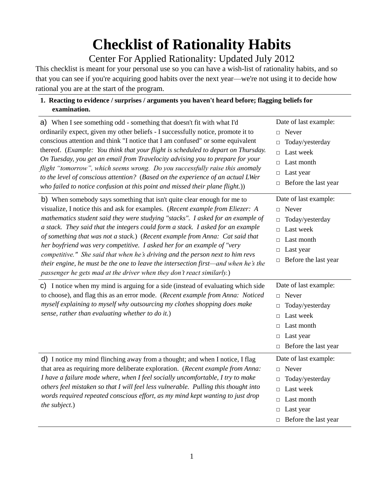# **Checklist of Rationality Habits**

# Center For Applied Rationality: Updated July 2012

This checklist is meant for your personal use so you can have a wish-list of rationality habits, and so that you can see if you're acquiring good habits over the next year—we're not using it to decide how rational you are at the start of the program.

## **1. Reacting to evidence / surprises / arguments you haven't heard before; flagging beliefs for examination.**

| a) When I see something odd - something that doesn't fit with what I'd<br>ordinarily expect, given my other beliefs - I successfully notice, promote it to<br>conscious attention and think "I notice that I am confused" or some equivalent<br>thereof. (Example: You think that your flight is scheduled to depart on Thursday.<br>On Tuesday, you get an email from Travelocity advising you to prepare for your<br>flight "tomorrow", which seems wrong. Do you successfully raise this anomaly<br>to the level of conscious attention? (Based on the experience of an actual LWer<br>who failed to notice confusion at this point and missed their plane flight.))                                                                    | Date of last example:<br>Never<br>$\Box$<br>Today/yesterday<br>$\Box$<br>Last week<br>$\Box$<br>Last month<br>п<br>Last year<br>$\Box$<br>Before the last year<br>□ |
|--------------------------------------------------------------------------------------------------------------------------------------------------------------------------------------------------------------------------------------------------------------------------------------------------------------------------------------------------------------------------------------------------------------------------------------------------------------------------------------------------------------------------------------------------------------------------------------------------------------------------------------------------------------------------------------------------------------------------------------------|---------------------------------------------------------------------------------------------------------------------------------------------------------------------|
| b) When somebody says something that isn't quite clear enough for me to<br>visualize, I notice this and ask for examples. (Recent example from Eliezer: A<br>mathematics student said they were studying "stacks". I asked for an example of<br>a stack. They said that the integers could form a stack. I asked for an example<br>of something that was not a stack.) (Recent example from Anna: Cat said that<br>her boyfriend was very competitive. I asked her for an example of "very<br>competitive." She said that when he's driving and the person next to him revs<br>their engine, he must be the one to leave the intersection first—and when he's the<br>passenger he gets mad at the driver when they don't react similarly.) | Date of last example:<br>Never<br>$\Box$<br>Today/yesterday<br>$\Box$<br>Last week<br>П<br>Last month<br>П<br>Last year<br>□<br>Before the last year<br>П           |
| I notice when my mind is arguing for a side (instead of evaluating which side<br>C)<br>to choose), and flag this as an error mode. (Recent example from Anna: Noticed<br>myself explaining to myself why outsourcing my clothes shopping does make<br>sense, rather than evaluating whether to do it.)                                                                                                                                                                                                                                                                                                                                                                                                                                     | Date of last example:<br>$\Box$ Never<br>Today/yesterday<br>$\Box$<br>Last week<br>п<br>Last month<br>□<br>Last year<br>□<br>Before the last year<br>□              |
| d) I notice my mind flinching away from a thought; and when I notice, I flag<br>that area as requiring more deliberate exploration. (Recent example from Anna:<br>I have a failure mode where, when I feel socially uncomfortable, I try to make<br>others feel mistaken so that I will feel less vulnerable. Pulling this thought into<br>words required repeated conscious effort, as my mind kept wanting to just drop<br>the subject.)                                                                                                                                                                                                                                                                                                 | Date of last example:<br>Never<br>$\Box$<br>Today/yesterday<br>□<br>Last week<br>$\Box$<br>Last month<br>п<br>Last year<br>□<br>Before the last year<br>$\Box$      |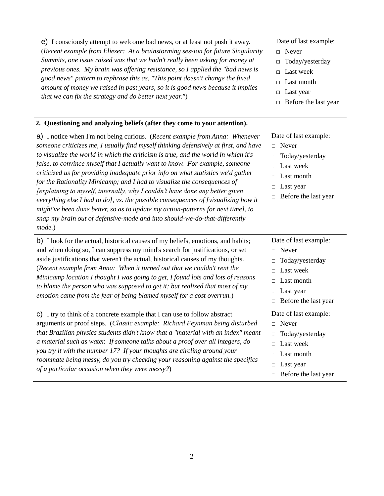| Summits, one issue raised was that we hadn't really been asking for money at<br>previous ones. My brain was offering resistance, so I applied the "bad news is<br>good news" pattern to rephrase this as, "This point doesn't change the fixed<br>amount of money we raised in past years, so it is good news because it implies<br>that we can fix the strategy and do better next year.")                                                                                                                                                                                                                                                                                                                                                                                                                                                                 | Today/yesterday<br>$\Box$<br>Last week<br>$\Box$<br>$\Box$ Last month<br>Last year<br>$\Box$<br>$\Box$ Before the last year                                          |
|-------------------------------------------------------------------------------------------------------------------------------------------------------------------------------------------------------------------------------------------------------------------------------------------------------------------------------------------------------------------------------------------------------------------------------------------------------------------------------------------------------------------------------------------------------------------------------------------------------------------------------------------------------------------------------------------------------------------------------------------------------------------------------------------------------------------------------------------------------------|----------------------------------------------------------------------------------------------------------------------------------------------------------------------|
| 2. Questioning and analyzing beliefs (after they come to your attention).                                                                                                                                                                                                                                                                                                                                                                                                                                                                                                                                                                                                                                                                                                                                                                                   |                                                                                                                                                                      |
| a) I notice when I'm not being curious. (Recent example from Anna: Whenever<br>someone criticizes me, I usually find myself thinking defensively at first, and have<br>to visualize the world in which the criticism is true, and the world in which it's<br>false, to convince myself that I actually want to know. For example, someone<br>criticized us for providing inadequate prior info on what statistics we'd gather<br>for the Rationality Minicamp; and I had to visualize the consequences of<br>[explaining to myself, internally, why I couldn't have done any better given<br>everything else I had to do], vs. the possible consequences of [visualizing how it<br>might've been done better, so as to update my action-patterns for next time], to<br>snap my brain out of defensive-mode and into should-we-do-that-differently<br>mode.) | Date of last example:<br>$\Box$ Never<br>$\Box$ Today/yesterday<br>Last week<br>$\Box$<br>Last month<br>$\Box$<br>Last year<br>$\Box$<br>$\Box$ Before the last year |
| b) I look for the actual, historical causes of my beliefs, emotions, and habits;<br>and when doing so, I can suppress my mind's search for justifications, or set<br>aside justifications that weren't the actual, historical causes of my thoughts.<br>(Recent example from Anna: When it turned out that we couldn't rent the<br>Minicamp location I thought I was going to get, I found lots and lots of reasons<br>to blame the person who was supposed to get it; but realized that most of my<br>emotion came from the fear of being blamed myself for a cost overrun.)                                                                                                                                                                                                                                                                               | Date of last example:<br>$\Box$ Never<br>Today/yesterday<br>$\Box$<br>Last week<br>$\Box$<br>Last month<br>$\Box$<br>$\Box$ Last year<br>$\Box$ Before the last year |
| c) I try to think of a concrete example that I can use to follow abstract<br>arguments or proof steps. (Classic example: Richard Feynman being disturbed<br>that Brazilian physics students didn't know that a "material with an index" meant<br>a material such as water. If someone talks about a proof over all integers, do<br>you try it with the number 17? If your thoughts are circling around your<br>roommate being messy, do you try checking your reasoning against the specifics<br>of a particular occasion when they were messy?)                                                                                                                                                                                                                                                                                                            | Date of last example:<br>$\Box$ Never<br>Today/yesterday<br>$\Box$<br>$\Box$ Last week<br>Last month<br>$\Box$<br>$\Box$ Last year<br>$\Box$ Before the last year    |

e) I consciously attempt to welcome bad news, or at least not push it away. (*Recent example from Eliezer: At a brainstorming session for future Singularity*  Date of last example:

□ Never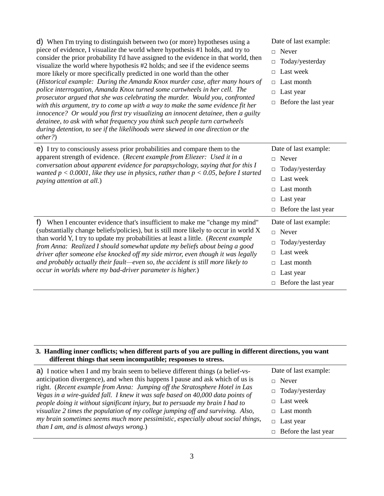| d) When I'm trying to distinguish between two (or more) hypotheses using a<br>piece of evidence, I visualize the world where hypothesis #1 holds, and try to<br>consider the prior probability I'd have assigned to the evidence in that world, then<br>visualize the world where hypothesis #2 holds; and see if the evidence seems<br>more likely or more specifically predicted in one world than the other<br>(Historical example: During the Amanda Knox murder case, after many hours of<br>police interrogation, Amanda Knox turned some cartwheels in her cell. The<br>prosecutor argued that she was celebrating the murder. Would you, confronted<br>with this argument, try to come up with a way to make the same evidence fit her<br>innocence? Or would you first try visualizing an innocent detainee, then a guilty<br>detainee, to ask with what frequency you think such people turn cartwheels<br>during detention, to see if the likelihoods were skewed in one direction or the<br>other?) | Date of last example:<br>Never<br>$\Box$<br>Today/yesterday<br>□<br>Last week<br>П<br>Last month<br>П<br>Last year<br>$\Box$<br>Before the last year<br>П                |
|-----------------------------------------------------------------------------------------------------------------------------------------------------------------------------------------------------------------------------------------------------------------------------------------------------------------------------------------------------------------------------------------------------------------------------------------------------------------------------------------------------------------------------------------------------------------------------------------------------------------------------------------------------------------------------------------------------------------------------------------------------------------------------------------------------------------------------------------------------------------------------------------------------------------------------------------------------------------------------------------------------------------|--------------------------------------------------------------------------------------------------------------------------------------------------------------------------|
| e) I try to consciously assess prior probabilities and compare them to the<br>apparent strength of evidence. (Recent example from Eliezer: Used it in a<br>conversation about apparent evidence for parapsychology, saying that for this I<br>wanted $p < 0.0001$ , like they use in physics, rather than $p < 0.05$ , before I started<br>paying attention at all.)                                                                                                                                                                                                                                                                                                                                                                                                                                                                                                                                                                                                                                            | Date of last example:<br>Never<br>$\Box$<br>Today/yesterday<br>$\Box$<br>Last week<br>$\Box$<br>Last month<br>П<br>Last year<br>$\Box$<br>Before the last year<br>$\Box$ |
| f<br>When I encounter evidence that's insufficient to make me "change my mind"<br>(substantially change beliefs/policies), but is still more likely to occur in world X<br>than world Y, I try to update my probabilities at least a little. (Recent example<br>from Anna: Realized I should somewhat update my beliefs about being a good<br>driver after someone else knocked off my side mirror, even though it was legally<br>and probably actually their fault-even so, the accident is still more likely to<br>occur in worlds where my bad-driver parameter is higher.)                                                                                                                                                                                                                                                                                                                                                                                                                                  | Date of last example:<br>Never<br>$\Box$<br>Today/yesterday<br>$\Box$<br>Last week<br>П<br>Last month<br>П<br>Last year<br>□<br>Before the last year<br>$\Box$           |

#### **3. Handling inner conflicts; when different parts of you are pulling in different directions, you want different things that seem incompatible; responses to stress.**

| a) I notice when I and my brain seem to believe different things (a belief-vs-                                                                                  | Date of last example:       |
|-----------------------------------------------------------------------------------------------------------------------------------------------------------------|-----------------------------|
| anticipation divergence), and when this happens I pause and ask which of us is                                                                                  | $\Box$ Never                |
| right. (Recent example from Anna: Jumping off the Stratosphere Hotel in Las                                                                                     | $\Box$ Today/yesterday      |
| Vegas in a wire-guided fall. I knew it was safe based on 40,000 data points of<br>people doing it without significant injury, but to persuade my brain I had to | $\Box$ Last week            |
| visualize 2 times the population of my college jumping off and surviving. Also,                                                                                 | $\Box$ Last month           |
| my brain sometimes seems much more pessimistic, especially about social things,                                                                                 | $\Box$ Last year            |
| <i>than I am, and is almost always wrong.)</i>                                                                                                                  | $\Box$ Before the last year |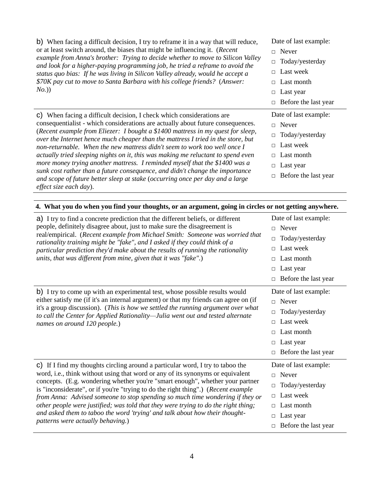| b) When facing a difficult decision, I try to reframe it in a way that will reduce,<br>or at least switch around, the biases that might be influencing it. (Recent<br>example from Anna's brother: Trying to decide whether to move to Silicon Valley<br>and look for a higher-paying programming job, he tried a reframe to avoid the<br>status quo bias: If he was living in Silicon Valley already, would he accept a<br>\$70K pay cut to move to Santa Barbara with his college friends? (Answer:<br>No.) | Date of last example:<br>Never<br>$\Box$<br>Today/yesterday<br>Last week<br>Last month<br>Last year<br>$\Box$<br>Before the last year<br>$\Box$ |
|---------------------------------------------------------------------------------------------------------------------------------------------------------------------------------------------------------------------------------------------------------------------------------------------------------------------------------------------------------------------------------------------------------------------------------------------------------------------------------------------------------------|-------------------------------------------------------------------------------------------------------------------------------------------------|
| c) When facing a difficult decision, I check which considerations are                                                                                                                                                                                                                                                                                                                                                                                                                                         | Date of last example:                                                                                                                           |
| consequentialist - which considerations are actually about future consequences.                                                                                                                                                                                                                                                                                                                                                                                                                               | Never                                                                                                                                           |
| (Recent example from Eliezer: I bought a \$1400 mattress in my quest for sleep,                                                                                                                                                                                                                                                                                                                                                                                                                               | $\Box$                                                                                                                                          |
| over the Internet hence much cheaper than the mattress I tried in the store, but                                                                                                                                                                                                                                                                                                                                                                                                                              | Today/yesterday                                                                                                                                 |
| non-returnable. When the new mattress didn't seem to work too well once I                                                                                                                                                                                                                                                                                                                                                                                                                                     | Last week                                                                                                                                       |
| actually tried sleeping nights on it, this was making me reluctant to spend even                                                                                                                                                                                                                                                                                                                                                                                                                              | Last month                                                                                                                                      |
| more money trying another mattress. I reminded myself that the \$1400 was a                                                                                                                                                                                                                                                                                                                                                                                                                                   | $\Box$                                                                                                                                          |
| sunk cost rather than a future consequence, and didn't change the importance                                                                                                                                                                                                                                                                                                                                                                                                                                  | Last year                                                                                                                                       |
| and scope of future better sleep at stake (occurring once per day and a large                                                                                                                                                                                                                                                                                                                                                                                                                                 | □                                                                                                                                               |
| effect size each day).                                                                                                                                                                                                                                                                                                                                                                                                                                                                                        | Before the last year                                                                                                                            |

**4. What you do when you find your thoughts, or an argument, going in circles or not getting anywhere.**

| a) I try to find a concrete prediction that the different beliefs, or different<br>people, definitely disagree about, just to make sure the disagreement is<br>real/empirical. (Recent example from Michael Smith: Someone was worried that<br>rationality training might be "fake", and I asked if they could think of a<br>particular prediction they'd make about the results of running the rationality<br>units, that was different from mine, given that it was "fake".)                                                                                                                                                    | Date of last example:<br>Never<br>$\Box$<br>Today/yesterday<br>$\Box$<br>Last week<br>П<br>Last month<br>п<br>Last year<br>$\Box$<br>Before the last year<br>$\Box$      |
|-----------------------------------------------------------------------------------------------------------------------------------------------------------------------------------------------------------------------------------------------------------------------------------------------------------------------------------------------------------------------------------------------------------------------------------------------------------------------------------------------------------------------------------------------------------------------------------------------------------------------------------|--------------------------------------------------------------------------------------------------------------------------------------------------------------------------|
| b) I try to come up with an experimental test, whose possible results would<br>either satisfy me (if it's an internal argument) or that my friends can agree on (if<br>it's a group discussion). (This is how we settled the running argument over what<br>to call the Center for Applied Rationality-Julia went out and tested alternate<br>names on around 120 people.)                                                                                                                                                                                                                                                         | Date of last example:<br>Never<br>$\Box$<br>Today/yesterday<br>$\Box$<br>Last week<br>П<br>Last month<br>$\Box$<br>Last year<br>$\Box$<br>Before the last year<br>$\Box$ |
| c) If I find my thoughts circling around a particular word, I try to taboo the<br>word, i.e., think without using that word or any of its synonyms or equivalent<br>concepts. (E.g. wondering whether you're "smart enough", whether your partner<br>is "inconsiderate", or if you're "trying to do the right thing".) (Recent example<br>from Anna: Advised someone to stop spending so much time wondering if they or<br>other people were justified; was told that they were trying to do the right thing;<br>and asked them to taboo the word 'trying' and talk about how their thought-<br>patterns were actually behaving.) | Date of last example:<br>Never<br>$\Box$<br>Today/yesterday<br>$\Box$<br>Last week<br>$\Box$<br>Last month<br>п<br>Last year<br>$\Box$<br>Before the last year<br>$\Box$ |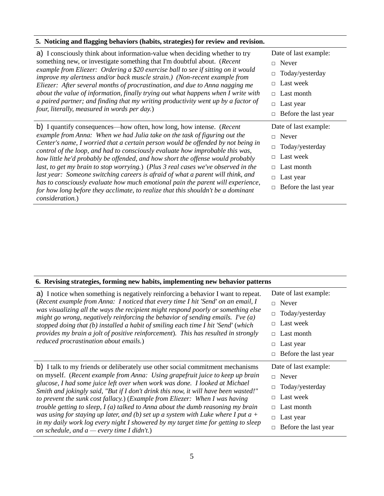#### **5. Noticing and flagging behaviors (habits, strategies) for review and revision.**

| a) I consciously think about information-value when deciding whether to try<br>something new, or investigate something that I'm doubtful about. (Recent<br>example from Eliezer: Ordering a \$20 exercise ball to see if sitting on it would<br>improve my alertness and/or back muscle strain.) (Non-recent example from<br>Eliezer: After several months of procrastination, and due to Anna nagging me<br>about the value of information, finally trying out what happens when I write with<br>a paired partner; and finding that my writing productivity went up by a factor of<br>four, literally, measured in words per day.)                                                                                                                                        | Date of last example:<br>$\sqcap$ Never<br>$\Box$ Today/yesterday<br>$\Box$ Last week<br>$\Box$ Last month<br>$\Box$ Last year<br>Before the last year |
|----------------------------------------------------------------------------------------------------------------------------------------------------------------------------------------------------------------------------------------------------------------------------------------------------------------------------------------------------------------------------------------------------------------------------------------------------------------------------------------------------------------------------------------------------------------------------------------------------------------------------------------------------------------------------------------------------------------------------------------------------------------------------|--------------------------------------------------------------------------------------------------------------------------------------------------------|
| b) I quantify consequences—how often, how long, how intense. (Recent<br>example from Anna: When we had Julia take on the task of figuring out the<br>Center's name, I worried that a certain person would be offended by not being in<br>control of the loop, and had to consciously evaluate how improbable this was,<br>how little he'd probably be offended, and how short the offense would probably<br>last, to get my brain to stop worrying.) (Plus 3 real cases we've observed in the<br>last year: Someone switching careers is afraid of what a parent will think, and<br>has to consciously evaluate how much emotional pain the parent will experience,<br>for how long before they acclimate, to realize that this shouldn't be a dominant<br>consideration.) | Date of last example:<br>$\Box$ Never<br>$\Box$ Today/yesterday<br>Last week<br>$\Box$ Last month<br>Last year<br>$\Box$<br>Before the last year       |

### **6. Revising strategies, forming new habits, implementing new behavior patterns**

| a) I notice when something is negatively reinforcing a behavior I want to repeat.<br>(Recent example from Anna: I noticed that every time I hit 'Send' on an email, I<br>was visualizing all the ways the recipient might respond poorly or something else<br>might go wrong, negatively reinforcing the behavior of sending emails. I've $(a)$<br>stopped doing that (b) installed a habit of smiling each time I hit 'Send' (which<br>provides my brain a jolt of positive reinforcement). This has resulted in strongly<br>reduced procrastination about emails.) | Date of last example:<br>$\Box$ Never<br>Today/yesterday<br>Last week<br>$\Box$<br>Last month<br>$\Box$<br>Last year |
|----------------------------------------------------------------------------------------------------------------------------------------------------------------------------------------------------------------------------------------------------------------------------------------------------------------------------------------------------------------------------------------------------------------------------------------------------------------------------------------------------------------------------------------------------------------------|----------------------------------------------------------------------------------------------------------------------|
|                                                                                                                                                                                                                                                                                                                                                                                                                                                                                                                                                                      | Before the last year<br>П                                                                                            |
| b) I talk to my friends or deliberately use other social commitment mechanisms                                                                                                                                                                                                                                                                                                                                                                                                                                                                                       | Date of last example:                                                                                                |
| on myself. (Recent example from Anna: Using grapefruit juice to keep up brain<br>glucose, I had some juice left over when work was done. I looked at Michael<br>Smith and jokingly said, "But if I don't drink this now, it will have been wasted!"<br>to prevent the sunk cost fallacy.) (Example from Eliezer: When I was having<br>trouble getting to sleep, $I(a)$ talked to Anna about the dumb reasoning my brain                                                                                                                                              | Never<br>$\Box$                                                                                                      |
|                                                                                                                                                                                                                                                                                                                                                                                                                                                                                                                                                                      | Today/yesterday                                                                                                      |
|                                                                                                                                                                                                                                                                                                                                                                                                                                                                                                                                                                      | Last week                                                                                                            |
|                                                                                                                                                                                                                                                                                                                                                                                                                                                                                                                                                                      | Last month<br>П                                                                                                      |
| was using for staying up later, and (b) set up a system with Luke where I put $a +$                                                                                                                                                                                                                                                                                                                                                                                                                                                                                  | Last year<br>$\Box$                                                                                                  |
| in my daily work log every night I showered by my target time for getting to sleep<br>on schedule, and $a$ – every time I didn't.)                                                                                                                                                                                                                                                                                                                                                                                                                                   | Before the last year                                                                                                 |